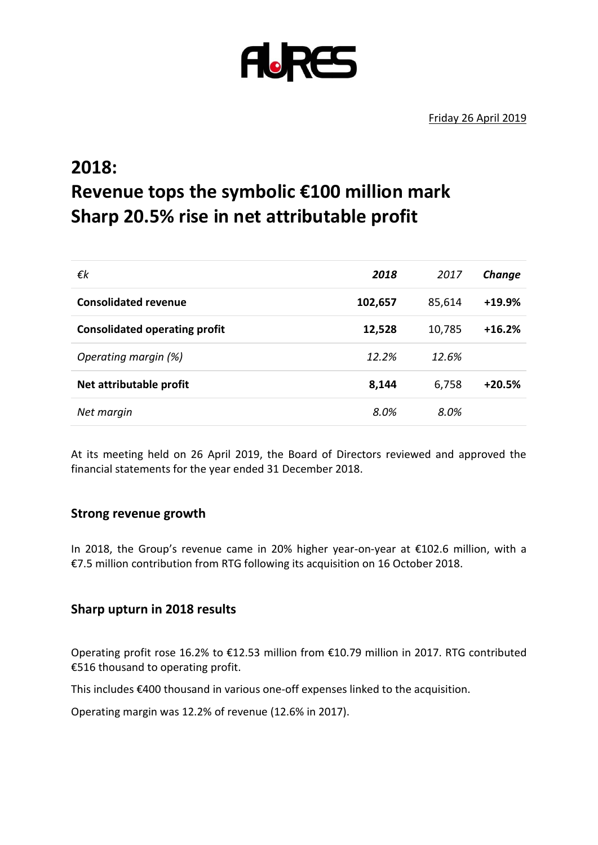

# **2018: Revenue tops the symbolic €100 million mark Sharp 20.5% rise in net attributable profit**

| 2018    | 2017   | Change   |
|---------|--------|----------|
| 102,657 | 85,614 | $+19.9%$ |
| 12,528  | 10,785 | $+16.2%$ |
| 12.2%   | 12.6%  |          |
| 8,144   | 6,758  | $+20.5%$ |
| 8.0%    | 8.0%   |          |
|         |        |          |

At its meeting held on 26 April 2019, the Board of Directors reviewed and approved the financial statements for the year ended 31 December 2018.

#### **Strong revenue growth**

In 2018, the Group's revenue came in 20% higher year-on-year at €102.6 million, with a €7.5 million contribution from RTG following its acquisition on 16 October 2018.

#### **Sharp upturn in 2018 results**

Operating profit rose 16.2% to €12.53 million from €10.79 million in 2017. RTG contributed €516 thousand to operating profit.

This includes €400 thousand in various one-off expenses linked to the acquisition.

Operating margin was 12.2% of revenue (12.6% in 2017).